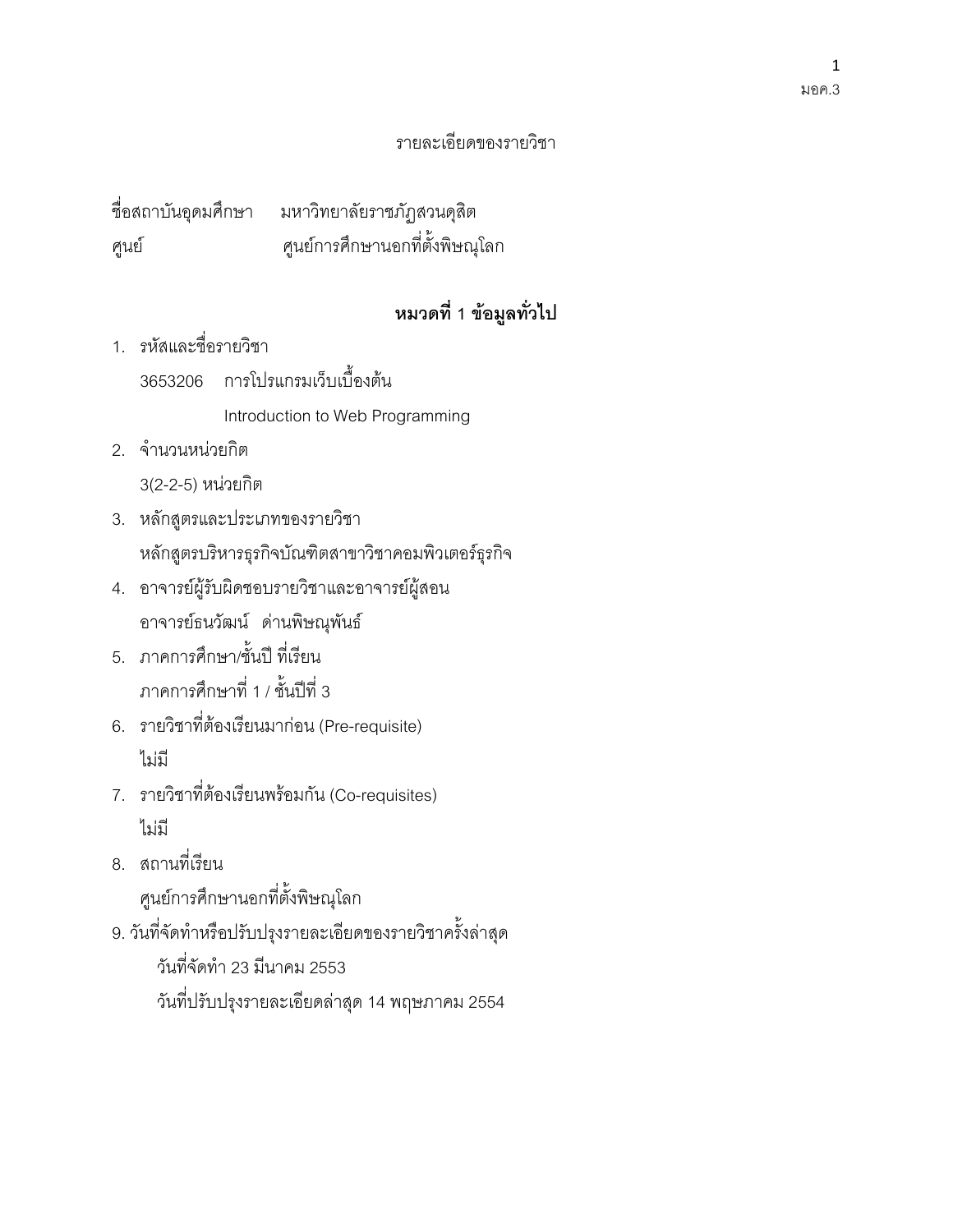#### $\mathbf{1}$ มอค.3

### รายละเคียดของรายวิชา

ชื่อสถาบันอุดมศึกษา มหาวิทยาลัยราชภัฏสวนดุสิต ศูนย์การศึกษานอกที่ตั้งพิษณุโลก ศูนย์

# หมวดที่ 1 ข้อมูลทั่วไป

1 รหัสและชื่อรายกิชา

3653206 การโปรแกรมเว็บเบื้องต้น

Introduction to Web Programming

2. จำนวนหน่วยกิต

3(2-2-5) หน่วยกิต

- 3. หลักสูตรและประเภทของรายวิชา หลักสูตรบริหารธุรกิจบัณฑิตสาขาวิชาคอมพิวเตอร์ธุรกิจ
- 4. อาจารย์ผู้รับผิดชอบรายวิชาและอาจารย์ผู้สอน อาจารย์ธนวัฒน์ ด่านพิษณุพันธ์
- 5. ภาคการศึกษา/ชั้นปี ที่เรียน ภาคการศึกษาที่ 1 / ชั้นปีที่ 3
- 6. รายวิชาที่ต้องเรียนมาก่อน (Pre-requisite) ไม่มี
- 7. รายวิชาที่ต้องเรียนพร้อมกัน (Co-requisites) ไม่มี
- 8. สถานที่เรียน ศูนย์การศึกษานอกที่ตั้งพิษณุโลก
- 9. วันที่จัดทำหรือปรับปรุงรายละเอียดของรายวิชาครั้งล่าสุด

วันที่จัดทำ 23 มีนาคม 2553

้วันที่ปรับปรุงรายละเอียดล่าสุด 14 พฤษภาคม 2554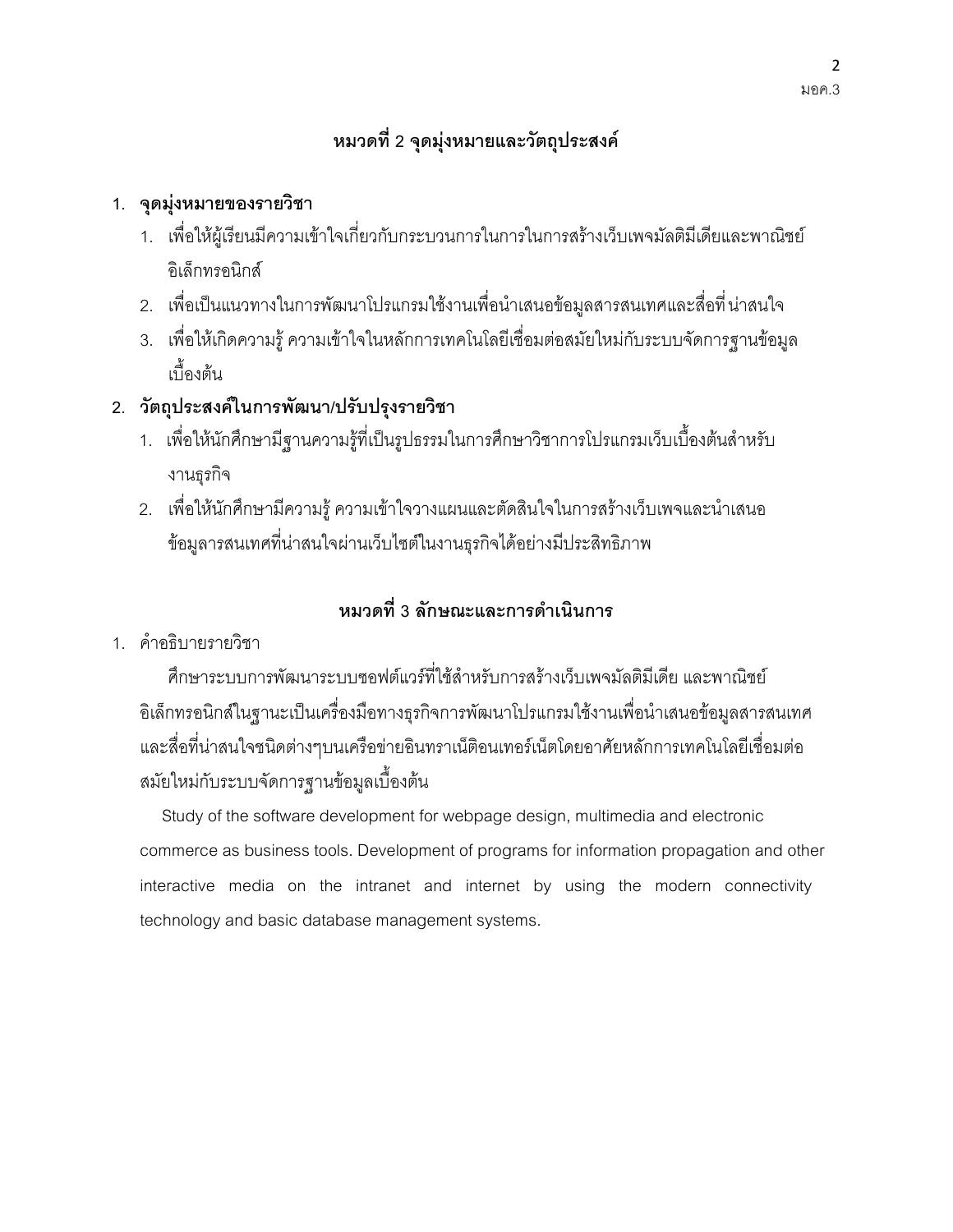# หมวดที่ 2 จุดมุ่งหมายและวัตถุประสงค์

### 1. จุดมุ่งหมายของรายวิชา

- 1. เพื่อให้ผู้เรียนมีความเข้าใจเกี่ยวกับกระบวนการในการในการสร้างเว็บเพจมัลติมีเดียและพาณิชย์ คิเล็กทรคนิกส์
- 2. เพื่อเป็นแนวทางในการพัฒนาโปรแกรมใช้งานเพื่อนำเสนอข้อมูลสารสนเทศและสื่อที่น่าสนใจ
- 3. เพื่อให้เกิดความรู้ ความเข้าใจในหลักการเทคโนโลยีเชื่อมต่อสมัยใหม่กับระบบจัดการฐานข้อมูล ้<br>เปิ้ดงต้น
- 2. วัตถุประสงค์ในการพัฒนา/ปรับปรุงรายวิชา
	- 1. เพื่อให้นักศึกษามีฐานความรู้ที่เป็นรูปธรรมในการศึกษาวิชาการโปรแกรมเว็บเบื้องต้นลำหรับ งานธุรกิจ
	- ่ 2. เพื่อให้นักศึกษามีความรู้ ความเข้าใจวางแผนและตัดสินใจในการสร้างเว็บเพจและนำเสนอ ข้อมูลารสนเทศที่น่าสนใจผ่านเว็บไซต์ในงานธุรกิจได้อย่างมีประสิทธิภาพ

### หมวดที่ 3 ลักษณะและการดำเนินการ

1. คำคลิบายรายวิชา

์ศึกษาระบบการพัฒนาระบบซอฟต์แวร์ที่ใช้สำหรับการสร้างเว็บเพจมัลติมีเดีย และพาณิชย์ อิเล็กทรอนิกส์ในฐานะเป็นเครื่องมือทางธุรกิจการพัฒนาโปรแกรมใช้งานเพื่อนำเสนอข้อมูลสารสนเทศ และสื่อที่น่าสนใจชนิดต่างๆบนเครือข่ายอินทราเน็ติอนเทอร์เน็ตโดยอาศัยหลักการเทคโนโลยีเชื่อมต่อ สมัยใหม่กับระบบจัดการฐานข้อมูลเบื้องต้น

Study of the software development for webpage design, multimedia and electronic commerce as business tools. Development of programs for information propagation and other interactive media on the intranet and internet by using the modern connectivity technology and basic database management systems.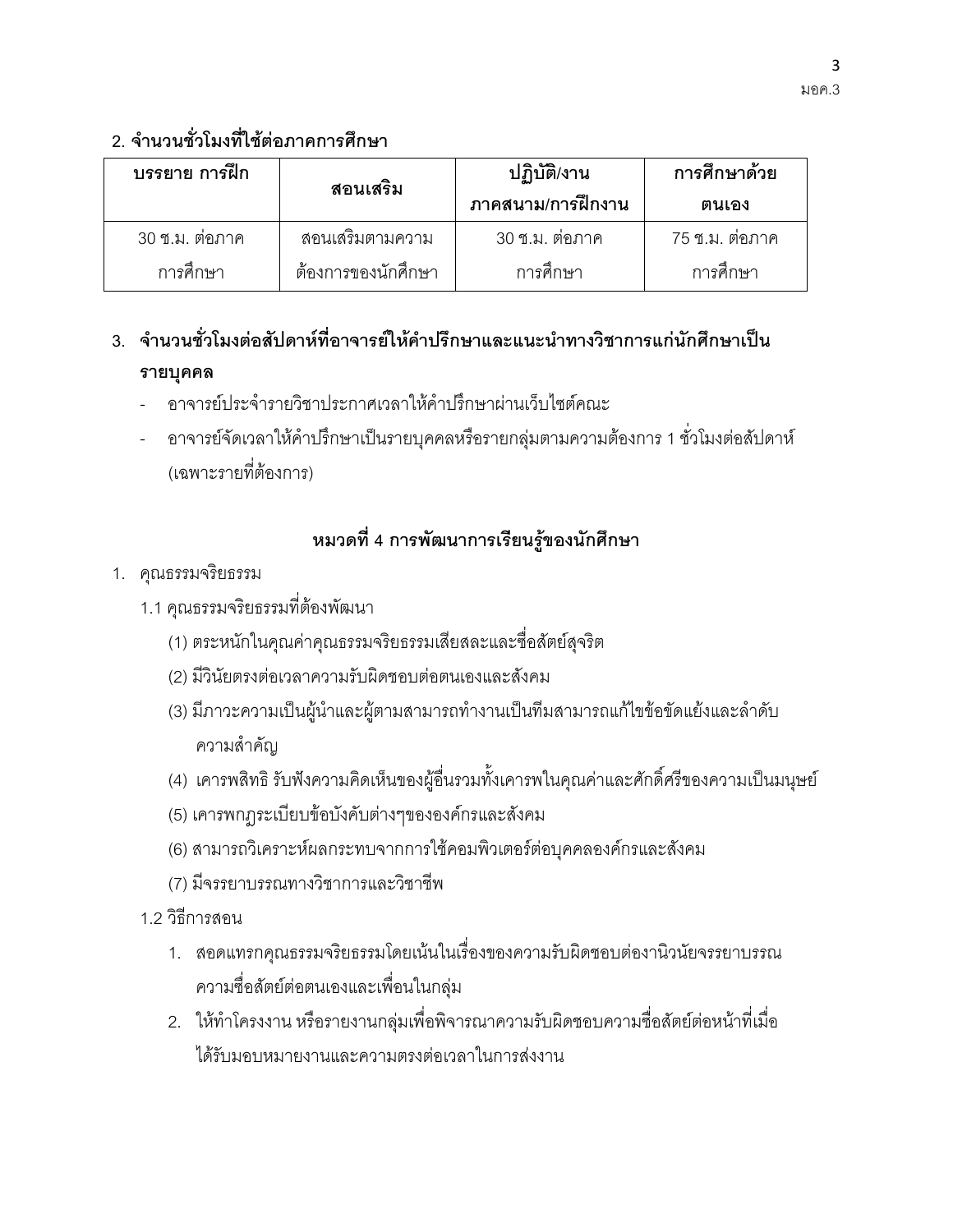# 2 จำบวบชั่วโมงที่ใช้ต่อภาคการศึกษา

| บรรยาย การฝึก  | สอนเสริม           | ปฏิบัติ/งาน<br>ภาคสนาม/การฝึกงาน | การศึกษาด้วย<br>ตนเอง |
|----------------|--------------------|----------------------------------|-----------------------|
| 30 ซ.ม. ต่อภาค | สอนเสริมตามความ    | 30 ซ.ม. ต่อภาค                   | 75 ซ.ม. ต่อภาค        |
| การศึกษา       | ต้องการของนักศึกษา | การศึกษา                         | การศึกษา              |

# .3 จำนวนชั่วโมงต่อสัปดาห์ที่อาจารย์ให้คำปรึกษาและแนะนำทางวิชาการแก่นักศึกษาเป็น รายบุคคล

- ้คาจารย์ประจำรายวิชาประกาศเวลาให้คำปรึกษาผ่านเว็บไซต์คณะ
- ้ อาจารย์จัดเวลาให้คำปรึกษาเป็นรายบุคคลหรือรายกลุ่มตามความต้องการ 1 ชั่วโมงต่อสัปดาห์ (เฉพาะรายที่ตัดงการ)

# หมวดที่ 4 การพัฒนาการเรียนรู้ของนักศึกษา

- 1. คุณธรรมจริยธรรม
	- 1.1 คณธรรมจริยธรรมที่ต้องพัฒนา
		- (1) ตระหนักในคุณค่าคุณธรรมจริยธรรมเสียสละและชื่อสัตย์สุจริต
		- (2) มีวินัยตรงต่อเวลาความรับผิดชอบต่อตนเองและสังคม
		- (3) มีภาวะความเป็นผู้นำและผู้ตามสามารถทำงานเป็นทีมสามารถแก้ไขข้อขัดแย้งและลำดับ ความสำคัญ
		- (4) เคารพสิทธิ รับฟังความคิดเห็นของผู้อื่นรวมทั้งเคารพในคุณค่าและศักดิ์ศรีของความเป็นมนุษย์
		- (5) เคารพกฎระเบียบข้อบังคับต่างๆขององค์กรและสังคม
		- (6) สามารถวิเคราะห์ผลกระทบจากการใช้คอมพิวเตอร์ต่อบุคคลองค์กรและสังคม
		- (7) มีจรรยาบรรณทางวิชาการและวิชาชีพ
	- 1 2 วิธีการสคน
		- 1. สอดแทรกคุณธรรมจริยธรรมโดยเน้นในเรื่องของความรับผิดชอบต่องานิวนัยจรรยาบรรณ ความซื่อสัตย์ต่อตนเองและเพื่อนในกลุ่ม
		- 2. ให้ทำโครงงาน หรือรายงานกลุ่มเพื่อพิจารณาความรับผิดชอบความชื่อสัตย์ต่อหน้าที่เมื่อ ได้รับมคบหมายงานและความตรงต่อเวลาในการส่งงาน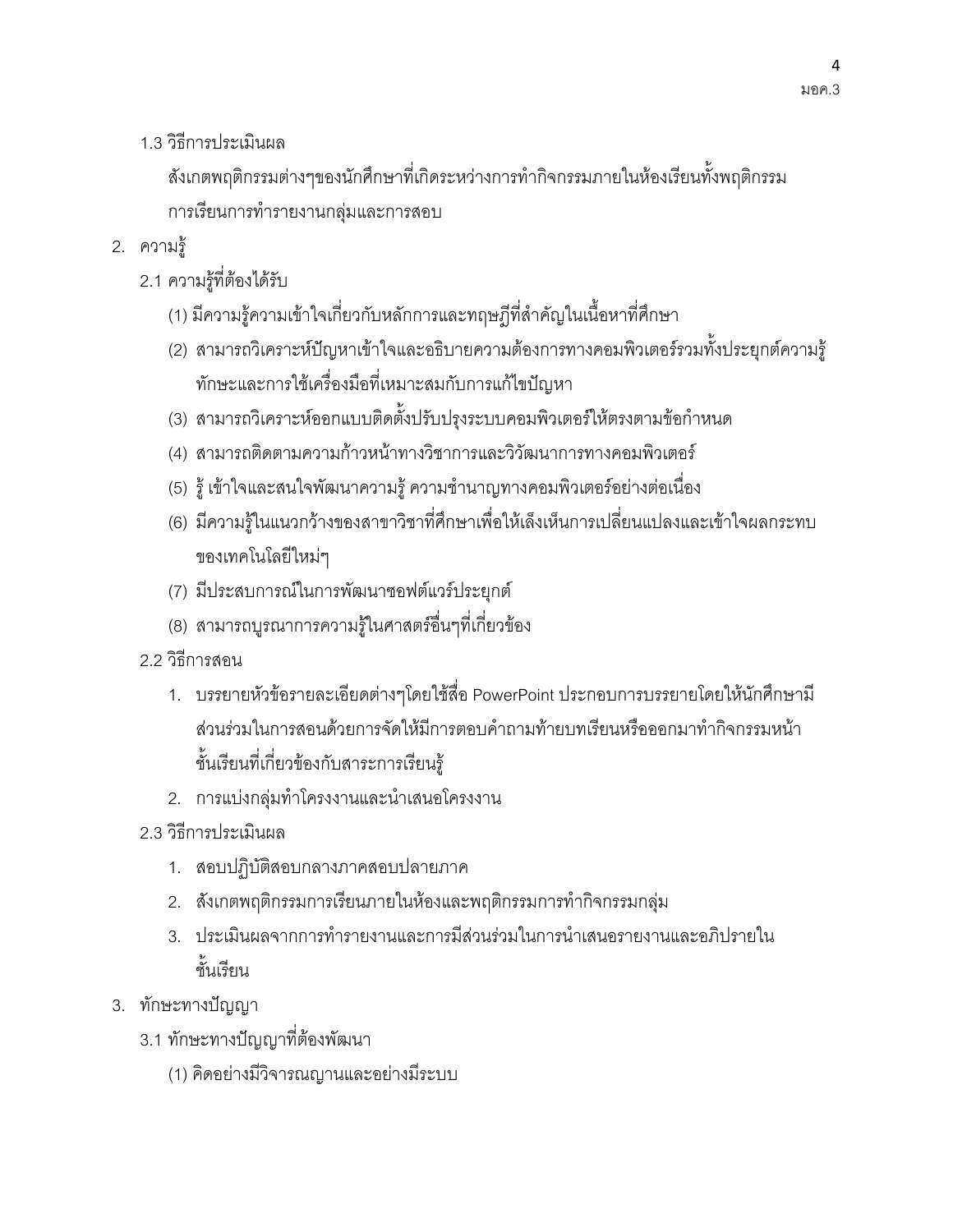1.3 วิธีการประเมินผล

สังเกตพฤติกรรมต่างๆของนักศึกษาที่เกิดระหว่างการทำกิจกรรมภายในห้องเรียนทั้งพฤติกรรม การเรียนการทำรายงานกลุ่มและการสอบ

- 2. ความร้
	- 2.1 ความรู้ที่ต้องได้รับ
		- (1) มีความรู้ความเข้าใจเกี่ยวกับหลักการและทฤษฎีที่สำคัญในเนื้อหาที่ศึกษา
		- (2) สามารถวิเคราะห์ปัญหาเข้าใจและอธิบายความต้องการทางคอมพิวเตอร์รวมทั้งประยุกต์ความรู้ ทักษะและการใช้เครื่องมือที่เหมาะสมกับการแก้ไขปัญหา
		- (3) สามารถวิเคราะห์ออกแบบติดตั้งปรับปรุงระบบคอมพิวเตอร์ให้ตรงตามข้อกำหนด
		- (4) สามารถติดตามความก้าวหน้าทางวิชาการและวิวัฒนาการทางคอมพิวเตอร์
		- (5) รู้ เข้าใจและสนใจพัฒนาความรู้ ความชำนาญทางคอมพิวเตอร์อย่างต่อเนื่อง
		- (6) มีความรู้ในแนวกว้างของสาขาวิชาที่ศึกษาเพื่อให้เล็งเห็นการเปลี่ยนแปลงและเข้าใจผลกระทบ ของเทคโนโลยี่ใหม่ๆ
		- (7) มีประสบการณ์ในการพัฒนาซอฟต์แวร์ประยุกต์
		- (8) สามารถบูรณาการความรู้ในศาสตร์อื่นๆที่เกี่ยวข้อง
	- 2 2 วิธีการสคน
		- 1. บรรยายหัวข้อรายละเอียดต่างๆโดยใช้สื่อ PowerPoint ประกอบการบรรยายโดยให้นักศึกษามี ส่วนร่วมในการสอนด้วยการจัดให้มีการตอบคำถามท้ายบทเรียนหรือออกมาทำกิจกรรมหน้า ชั้นเรียนที่เกี่ยวข้องกับสาระการเรียนรู้
		- 2. การแบ่งกลุ่มทำโครงงานและนำเสนอโครงงาน
	- 2.3 วิกีการประเมินผล
		- 1. สอบปฏิบัติสอบกลางภาคสอบปลายภาค
		- 2. สังเกตพฤติกรรมการเรียนภายในห้องและพฤติกรรมการทำกิจกรรมกลุ่ม
		- 3. ประเมินผลจากการทำรายงานและการมีส่วนร่วมในการนำเสนอรายงานและอภิปรายใน ทั้นเรียน
- 3. ทักษะทางปัญญา
	- 3.1 ทักษะทางปัญญาที่ต้องพัฒนา
		- (1) คิดอย่างมีวิจารณญานและอย่างมีระบบ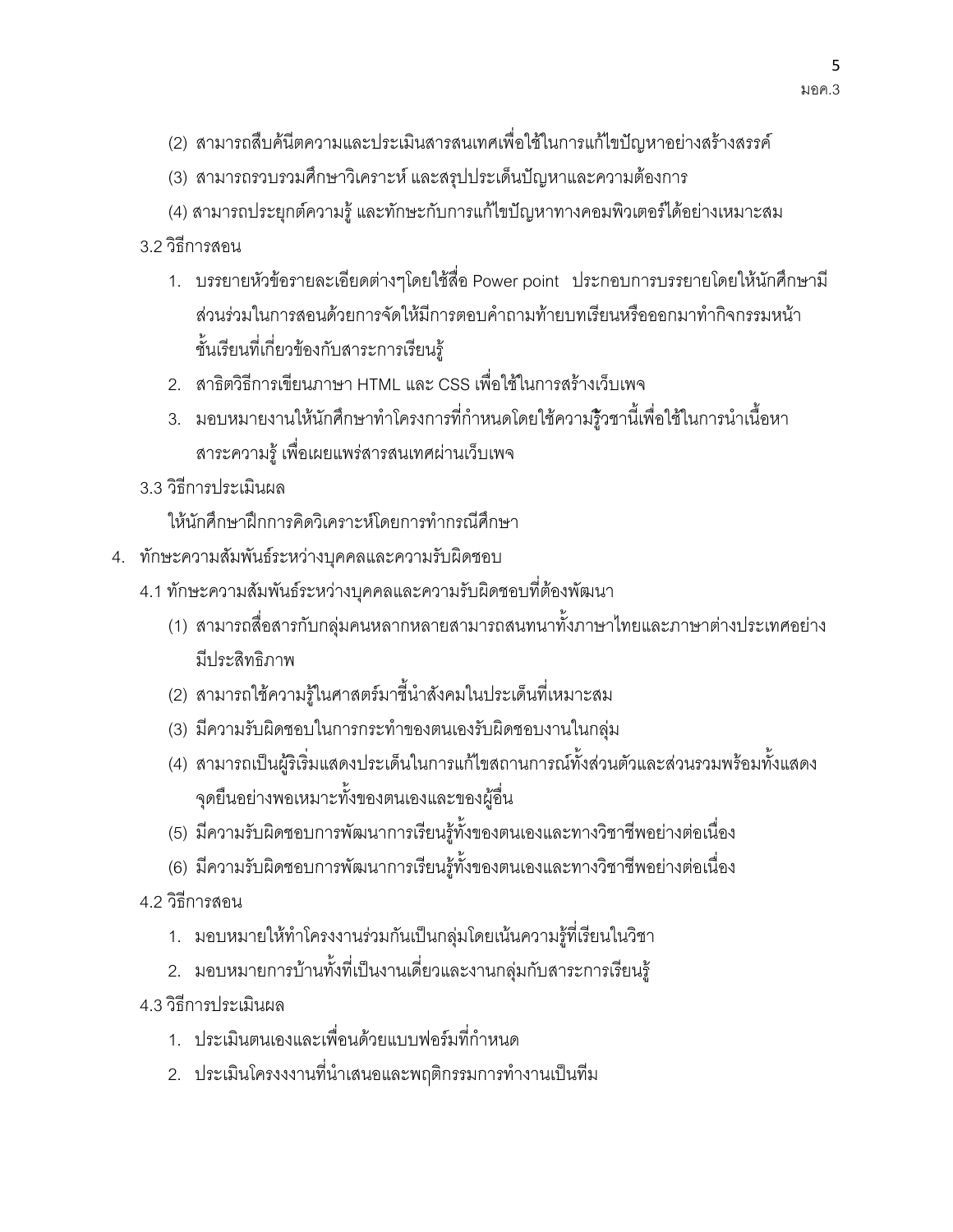- (2) สามารถสืบค้นีตความและประเมินสารสนเทศเพื่อใช้ในการแก้ไขปัญหาอย่างสร้างสรรค์
- (3) สามารถรวบรวมศึกษาวิเคราะห์ และสรุปประเด็นปัญหาและความต้องการ
- (4) สามารถประยุกต์ความรู้ และทักษะกับการแก้ไขปัญหาทางคอมพิวเตอร์ได้อย่างเหมาะสม
- 3 2 วิธีการสคน
	- 1. บรรยายหัวข้อรายละเอียดต่างๆโดยใช้สื่อ Power point ประกอบการบรรยายโดยให้นักศึกษามี ส่วนร่วมในการสอนด้วยการจัดให้มีการตอบคำถามท้ายบทเรียนหรือออกมาทำกิจกรรมหน้า ชั้นเรียนที่เกี่ยวข้องกับสาระการเรียนร้
	- 2. สาธิตวิธีการเขียนภาษา HTML และ CSS เพื่อใช้ในการสร้างเว็บเพจ
	- 3. มอบหมายงานให้นักศึกษาทำโครงการที่กำหนดโดยใช้ความรู้วชานี้เพื่อใช้ในการนำเนื้อหา สาระความรู้ เพื่อเผยแพร่สารสนเทศผ่านเว็บเพจ
- 3.3 วิธีการประเมินผล
	- ให้นักศึกษาฝึกการคิดวิเคราะห์โดยการทำกรณีศึกษา
- 4. ทักษะความสัมพันธ์ระหว่างบุคคลและความรับผิดชอบ
	- 4.1 ทักษะความสัมพันธ์ระหว่างบุคคลและความรับผิดชอบที่ต้องพัฒนา
		- (1) สามารถสื่อสารกับกลุ่มคนหลากหลายสามารถสนทนาทั้งภาษาไทยและภาษาต่างประเทศอย่าง มีประสิทธิภาพ
		- (2) สามารถใช้ความรู้ในศาสตร์มาชี้นำสังคมในประเด็นที่เหมาะสม
		- (3) มีความรับผิดชอบในการกระทำของตนเองรับผิดชอบงานในกลุ่ม
		- (4) สามารถเป็นผู้ริเริ่มแสดงประเด็นในการแก้ไขสถานการณ์ทั้งส่วนตัวและส่วนรวมพร้อมทั้งแสดง จุดยืนอย่างพอเหมาะทั้งของตนเองและของผู้อื่น
		- (5) มีความรับผิดชอบการพัฒนาการเรียนรู้ทั้งของตนเองและทางวิชาชีพอย่างต่อเนื่อง
		- (6) มีความรับผิดชอบการพัฒนาการเรียนรู้ทั้งของตนเองและทางวิชาชีพอย่างต่อเนื่อง
	- 4 2 วิกีการสคน
		- 1. มอบหมายให้ทำโครงงานร่วมกันเป็นกลุ่มโดยเน้นความรู้ที่เรียนในวิชา
		- 2. มอบหมายการบ้านทั้งที่เป็นงานเดี่ยวและงานกลุ่มกับสาระการเรียนรู้
	- 4.3 วิธีการประเมินผล
		- 1. ประเมินตนเองและเพื่อนด้วยแบบฟอร์มที่กำหนด
		- 2. ประเมินโครงงงานที่นำเสนอและพฤติกรรมการทำงานเป็นทีม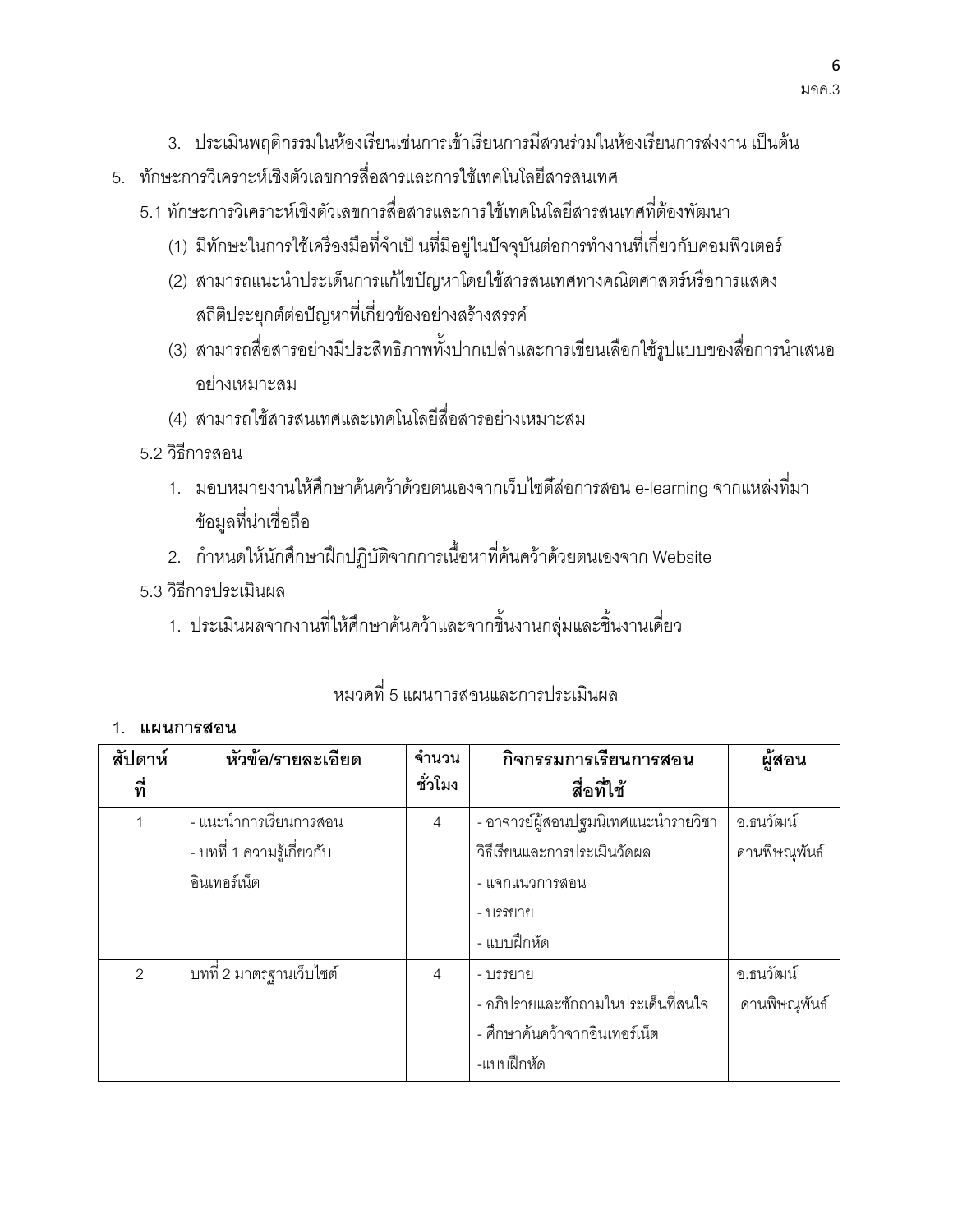- 3. ประเมินพฤติกรรมในห้องเรียนเช่นการเข้าเรียนการมีสวนร่วมในห้องเรียนการส่งงาน เป็นต้น
- .5 ทักษะการวิเคราะห์เชิงตัวเลขการสี่อสารและการใช้เทคโนโลยีสารสนเทศ
	- 5.1 ทักษะการวิเคราะห์เชิงตัวเลขการสื่อสารและการใช้เทคโนโลยีสารสนเทศที่ต้องพัฒนา
		- (1) มีทักษะในการใช้เครื่องมือที่จำเป็ นที่มีอยู่ในปัจจุบันต่อการทำงานที่เกี่ยวกับคอมพิวเตอร์
		- (2) สามารถแนะนำประเด็นการแก้ไขปัญหาโดยใช้สารสนเทศทางคณิตศาสตร์หรือการแสดง สถิติประยุกต์ต่อปัญหาที่เกี่ยวข้องอย่างสร้างสรรค์
		- (3) สามารถสื่อสารอย่างมีประสิทธิภาพทั้งปากเปล่าและการเขียนเลือกใช้รูปแบบของสื่อการนำเสนอ อย่างเหมาะสม
		- (4) สามารถใช้สารสนเทศและเทคโนโลยีสื่อสารอย่างเหมาะสม
	- 5.2 วิกีการสคน
		- 1. มอบหมายงานให้ศึกษาค้นคว้าด้วยตนเองจากเว็บไซตี้สอการสอน e-learning จากแหล่งที่มา ข้อมูลที่น่าเชื่อถือ
		- 2. กำหนดให้นักศึกษาฝึกปฏิบัติจากการเนื้อหาที่ค้นคว้าด้วยตนเองจาก Website
	- 5.3 วิธีการประเมินผล
		- 1. ประเมินผลจากงานที่ให้ศึกษาค้นคว้าและจากชิ้นงานกลุ่มและชิ้นงานเดี่ยว

# ่ หมวดที่ 5 แผนการสุดนและการประเมินผล

#### 1 แผนการสดน

| สัปดาห์       | หัวข้อ/รายละเอียด          | จำนวน          | กิจกรรมการเรียนการสอน                         | ผู้สอน         |
|---------------|----------------------------|----------------|-----------------------------------------------|----------------|
| ที่           |                            | ชั่วโมง        | สื่อที่ใช้                                    |                |
|               | - แนะนำการเรียนการสอน      | $\overline{4}$ | - อาจารย์ผู้สอนปฐมนิเทศแนะนำรายวิชา           | อ.ธนวัฒน์      |
|               | - บทที่ 1 ความรู้เกี่ยวกับ |                | วิธีเรียนและการประเมินวัดผล<br>ด่านพิษณุพันธ์ |                |
|               | อินเทอร์เน็ต               |                | - แจกแนวการสอน                                |                |
|               |                            |                | - บรรยาย                                      |                |
|               |                            |                | - แบบฝึกหัด                                   |                |
| $\mathcal{P}$ | ็บทที่ 2 มาตรฐานเว็บไซต์   | 4              | - บรรยาย                                      | อ.ธนวัฒน์      |
|               |                            |                | - อภิปรายและซักถามในประเด็นที่สนใจ            | ด่านพิษณุพันธ์ |
|               |                            |                | - ศึกษาค้นคว้าจากอินเทอร์เน็ต                 |                |
|               |                            |                | -แบบฝึกหัด                                    |                |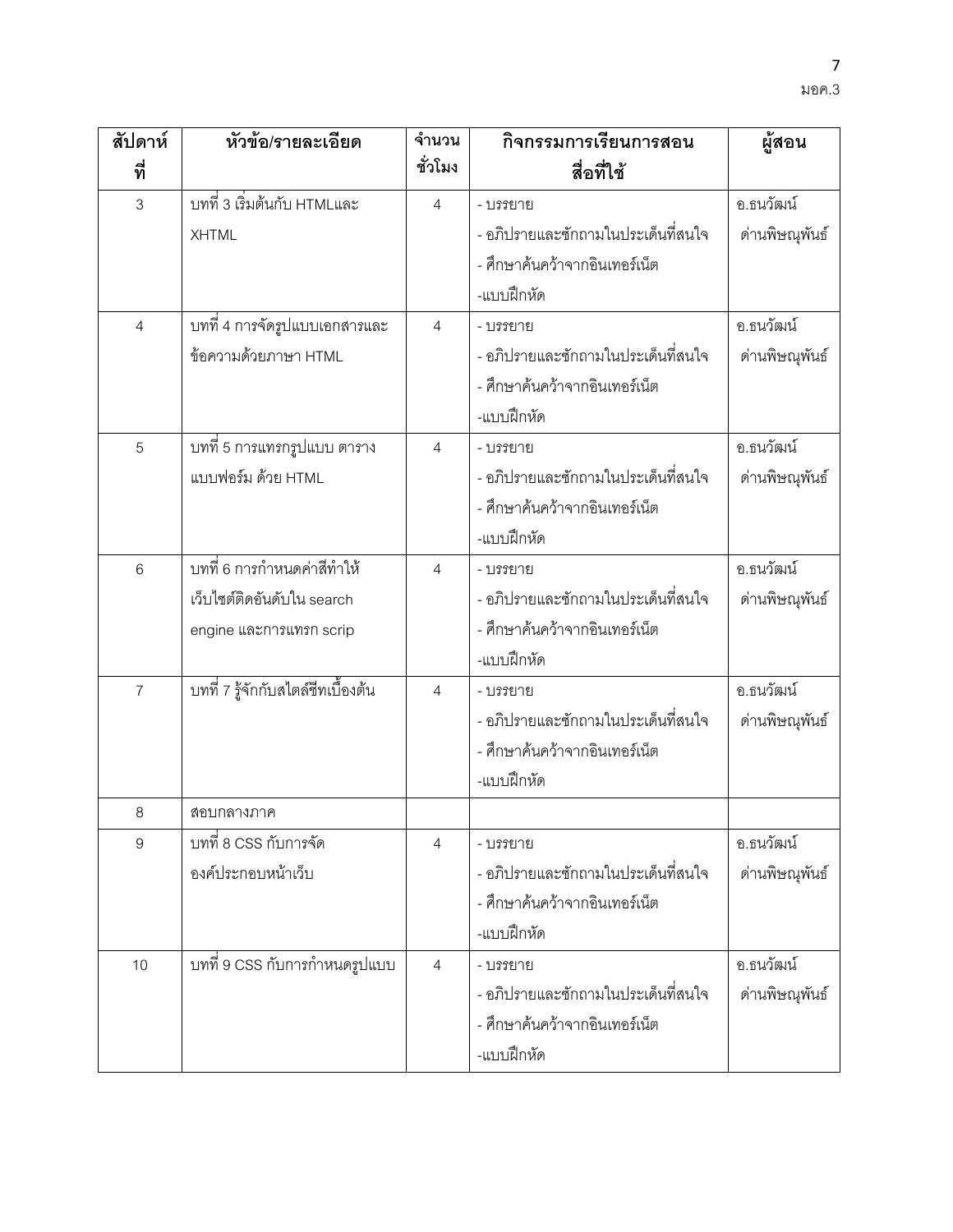| สัปดาห์        | หัวข้อ/รายละเอียด                  | จำนวน          | กิจกรรมการเรียนการสอน              | ผู้สอน         |
|----------------|------------------------------------|----------------|------------------------------------|----------------|
| ที่            |                                    | ชั่วโมง        | สื่อที่ใช้                         |                |
| 3              | บทที่ 3 เริ่มต้นกับ HTMLและ        | $\overline{4}$ | - บรรยาย                           | อ.ธนวัฒน์      |
|                | <b>XHTML</b>                       |                | - อภิปรายและซักถามในประเด็นที่สนใจ | ด่านพิษณุพันธ์ |
|                |                                    |                | - ศึกษาค้นคว้าจากอินเทอร์เน็ต      |                |
|                |                                    |                | -แบบฝึกหัด                         |                |
| $\overline{4}$ | บทที่ 4 การจัดรูปแบบเอกสารและ      | $\overline{4}$ | - บรรยาย                           | อ.ธนวัฒน์      |
|                | ข้อความด้วยภาษา HTML               |                | - อภิปรายและซักถามในประเด็นที่สนใจ | ด่านพิษณุพันธ์ |
|                |                                    |                | - ศึกษาค้นคว้าจากอินเทอร์เน็ต      |                |
|                |                                    |                | -แบบฝึกหัด                         |                |
| 5              | บทที่ 5 การแทรกรูปแบบ ตาราง        | $\overline{4}$ | - บรรยาย                           | อ.ธนวัฒน์      |
|                | แบบฟอร์ม ด้วย HTML                 |                | - อภิปรายและซักถามในประเด็นที่สนใจ | ด่านพิษณุพันธ์ |
|                |                                    |                | - ศึกษาค้นคว้าจากอินเทอร์เน็ต      |                |
|                |                                    |                | -แบบฝึกหัด                         |                |
| 6              | ้บทที่ 6 การกำหนดค่าสีทำให้        | 4              | - บรรยาย                           | อ.ธนวัฒน์      |
|                | เว็บไซต์ติดอันดับใน search         |                | - อภิปรายและซักถามในประเด็นที่สนใจ | ด่านพิษณุพันธ์ |
|                | engine และการแทรก scrip            |                | - ศึกษาค้นคว้าจากอินเทอร์เน็ต      |                |
|                |                                    |                | -แบบฝึกหัด                         |                |
| $\overline{7}$ | บทที่ 7 รู้จักกับสไตล์ชีทเบื้องต้น | $\overline{4}$ | - บรรยาย                           | อ.ธนวัฒน์      |
|                |                                    |                | - อภิปรายและซักถามในประเด็นที่สนใจ | ด่านพิษณุพันธ์ |
|                |                                    |                | - ศึกษาค้นคว้าจากอินเทอร์เน็ต      |                |
|                |                                    |                | -แบบฝึกหัด                         |                |
| 8              | สอบกลางภาค                         |                |                                    |                |
| 9              | ็บทที่ 8 CSS กับการจัด             | $\overline{4}$ | - บรรยาย                           | อ.ธนวัฒน์      |
|                | องค์ประกอบหน้าเว็บ                 |                | - อภิปรายและซักถามในประเด็นที่สนใจ | ด่านพิษณุพันธ์ |
|                |                                    |                | - ศึกษาค้นคว้าจากอินเทอร์เน็ต      |                |
|                |                                    |                | -แบบฝึกหัด                         |                |
| 10             | บทที่ 9 CSS กับการกำหนดรูปแบบ      | $\overline{4}$ | - บรรยาย                           | อ.ธนวัฒน์      |
|                |                                    |                | - อภิปรายและซักถามในประเด็นที่สนใจ | ด่านพิษณุพันธ์ |
|                |                                    |                | - ศึกษาค้นคว้าจากอินเทอร์เน็ต      |                |
|                |                                    |                | -แบบฝึกหัด                         |                |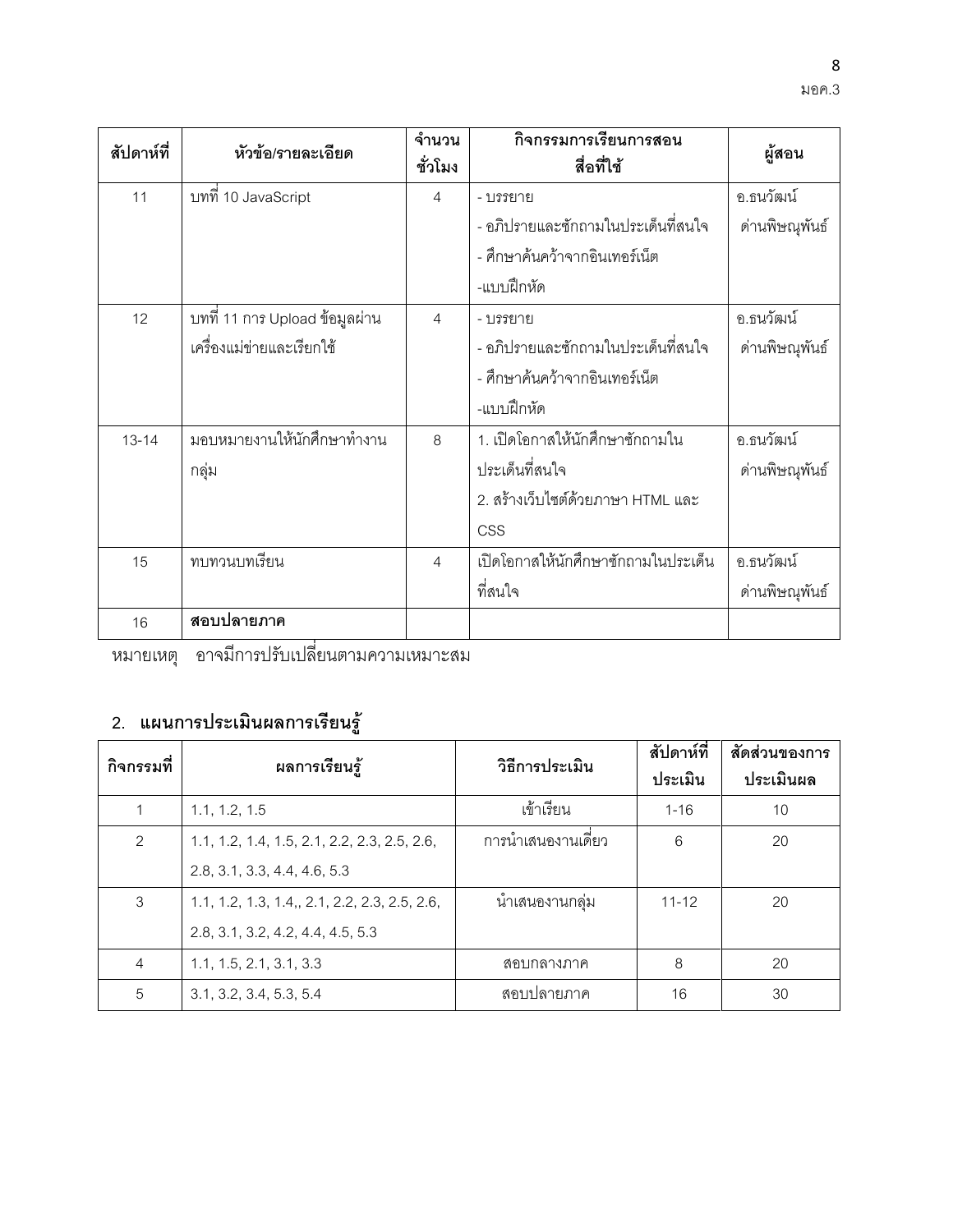| สัปดาห์ที่ | หัวข้อ/รายละเอียด               | จำนวน<br>ชั่วโมง | กิจกรรมการเรียนการสอน<br>สื่อที่ใช้          | ผู้สอน         |
|------------|---------------------------------|------------------|----------------------------------------------|----------------|
| 11         | บทที่ 10 JavaScript             | 4                | - บรรยาย                                     | อ.ธนวัฒน์      |
|            |                                 |                  | - อภิปรายและซักถามในประเด็นที่สนใจ           | ด่านพิษณุพันธ์ |
|            |                                 |                  | - ศึกษาค้นคว้าจากอินเทอร์เน็ต                |                |
|            |                                 |                  | -แบบฝึกหัด                                   |                |
| 12         | ็บทที่ 11 การ Upload ข้อมูลผ่าน | 4                | - บรรยาย                                     | อ.ธนวัฒน์      |
|            | เครื่องแม่ข่ายและเรียกใช้       |                  | - คภิปรายและซักถามในประเด็นที่สนใจ           | ด่านพิษณุพันธ์ |
|            |                                 |                  | - ศึกษาค้นคว้าจากอินเทอร์เน็ต                |                |
|            |                                 |                  | -แบบฝึกหัด                                   |                |
| $13 - 14$  | มอบหมายงานให้นักศึกษาทำงาน      | 8                | 1. เปิดโอกาสให้นักศึกษาซักถามใน<br>อ.ธนวัฒน์ |                |
|            | กลุ่ม                           |                  | ประเด็นที่สนใจ<br>ด่านพิษณุพันธ์             |                |
|            |                                 |                  | 2. สร้างเว็บไซต์ด้วยภาษา HTML และ            |                |
|            |                                 |                  | <b>CSS</b>                                   |                |
| 15         | ทบทวนบทเรียน                    | 4                | เปิดโอกาสให้นักศึกษาซักถามในประเด็น          | อ.ธนวัฒน์      |
|            |                                 |                  | ที่สนใจ                                      | ด่านพิษณุพันธ์ |
| 16         | สอบปลายภาค                      |                  |                                              |                |

หมายเหตุ อาจมีการปรับเปลี่ยนตามความเหมาะสม

### 2. แผนการประเมินผลการเรียนรู้

| กิจกรรมที่     | ผลการเรียนรู้                                 | วิธีการประเมิน    | สัปดาห์ที่ | สัดส่วนของการ |
|----------------|-----------------------------------------------|-------------------|------------|---------------|
|                |                                               |                   | ประเมิน    | ประเมินผล     |
|                | 1.1, 1.2, 1.5                                 | เข้าเรียน         | $1 - 16$   | 10            |
| 2              | 1.1, 1.2, 1.4, 1.5, 2.1, 2.2, 2.3, 2.5, 2.6,  | การนำเสนองานเดียว | 6          | 20            |
|                | 2.8, 3.1, 3.3, 4.4, 4.6, 5.3                  |                   |            |               |
| 3              | 1.1, 1.2, 1.3, 1.4,, 2.1, 2.2, 2.3, 2.5, 2.6, | น้ำเสนองานกลุ่ม   | $11 - 12$  | 20            |
|                | 2.8, 3.1, 3.2, 4.2, 4.4, 4.5, 5.3             |                   |            |               |
| $\overline{4}$ | 1.1, 1.5, 2.1, 3.1, 3.3                       | ิสถบกลางภาค       | 8          | 20            |
| 5              | 3.1, 3.2, 3.4, 5.3, 5.4                       | ิสอบปลายภาค       | 16         | 30            |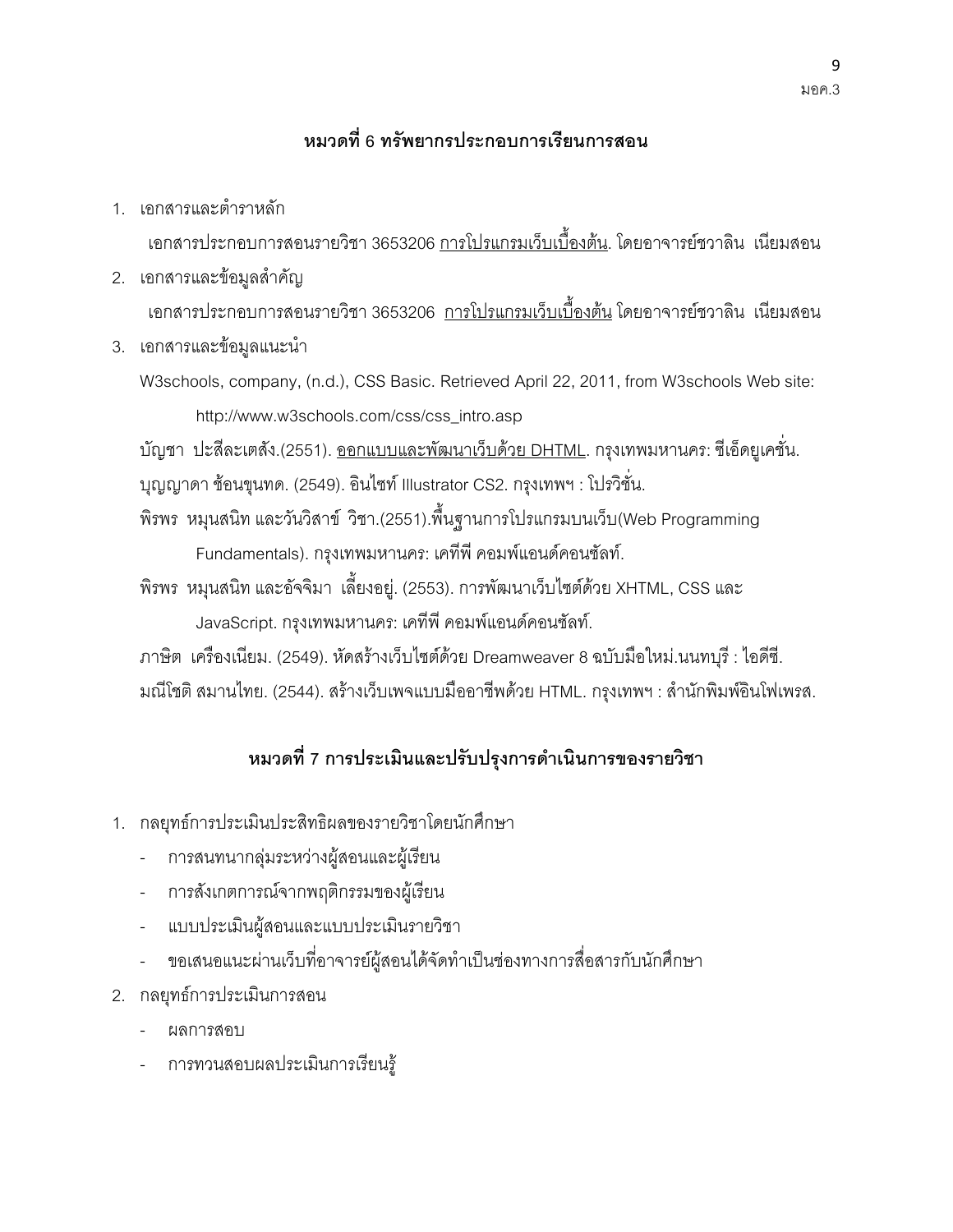### หมวดที่ 6 ทรัพยากรประกอบการเรียนการสอน

1. เอกสารและตำราหลัก

เอกสารประกอบการสอนรายวิชา 3653206 <u>การโปรแกรมเว็บเบื้องต้น</u>. โดยอาจารย์ชวาลิน เนียมสอน

- 2. เอกสารและข้อมูลสำคัญ เอกสารประกอบการสอนรายวิชา 3653206 <u>การโปรแกรมเว็บเบื้องต้น</u> โดยอาจารย์ชวาลิน เนียมสอน
- 3. เอกสารและข้อมูลแนะนำ
	- W3schools, company, (n.d.), CSS Basic. Retrieved April 22, 2011, from W3schools Web site: http://www.w3schools.com/css/css\_intro.asp

บัญชา ปะสี่ละเตสัง.(2551). <u>ออกแบบและพัฒนาเว็บด้วย DHTML</u>. กรุงเทพมหานคร: ซีเอ็ดยูเคชั่น. บุญญาดา ช้อนขุนทด. (2549). อินไซท์ Illustrator CS2. กรุงเทพฯ : โปรวิชั่น.

- พิรพร หมุนสนิท และวันวิสาข์ วิชา.(2551).พื้นฐานการโปรแกรมบนเว็บ(Web Programming Fundamentals). กรุงเทพมหานคร: เคทีพี คอมพ์แอนด์คอนซัลท์.
- พิรพร หมุนสนิท และอัจจิมา เลี้ยงอยู่. (2553). การพัฒนาเว็บไซต์ด้วย XHTML, CSS และ JavaScript. กรุงเทพมหานคร: เคทีพี คอมพ์แอนด์คอนซัลท์.

ภาษิต เครื่องเนียม. (2549). หัดสร้างเว็บไซต์ด้วย Dreamweaver 8 ฉบับมือใหม่.นนทบุรี : ไอดีซี. มณีโชติ สมานไทย. (2544). สร้างเว็บเพจแบบมืออาชีพด้วย HTML. กรุงเทพฯ : สำนักพิมพ์อินโฟเพรส.

### หมวดที่ 7 การประเมินและปรับปรุงการดำเนินการของรายวิชา

- 1. กลยุทธ์การประเมินประสิทธิผลของรายวิชาโดยนักศึกษา
- การสนทนากลุ่มระหว่างผู้สอนและผู้เรียน
- การสังเกตการณ์จากพฤติกรรมของผู้เรียน
- แบบประเมินผู้สอนและแบบประเมินรายวิชา
- ขอเสนอแนะผ่านเว็บที่อาจารย์ผู้สอนได้จัดทำเป็นช่องทางการสื่อสารกับนักศึกษา
- 2. กลยุทธ์การประเมินการสอน
- M -
- การทวนสอบผลประเมินการเรียนรู้